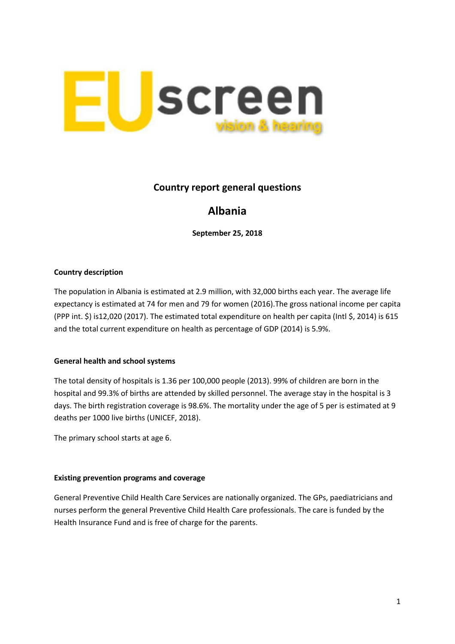

## **Country report general questions**

# **Albania**

**September 25, 2018**

### **Country description**

The population in Albania is estimated at 2.9 million, with 32,000 births each year. The average life expectancy is estimated at 74 for men and 79 for women (2016).The gross national income per capita (PPP int. \$) is12,020 (2017). The estimated total expenditure on health per capita (Intl \$, 2014) is 615 and the total current expenditure on health as percentage of GDP (2014) is 5.9%.

### **General health and school systems**

The total density of hospitals is 1.36 per 100,000 people (2013). 99% of children are born in the hospital and 99.3% of births are attended by skilled personnel. The average stay in the hospital is 3 days. The birth registration coverage is 98.6%. The mortality under the age of 5 per is estimated at 9 deaths per 1000 live births (UNICEF, 2018).

The primary school starts at age 6.

#### **Existing prevention programs and coverage**

General Preventive Child Health Care Services are nationally organized. The GPs, paediatricians and nurses perform the general Preventive Child Health Care professionals. The care is funded by the Health Insurance Fund and is free of charge for the parents.